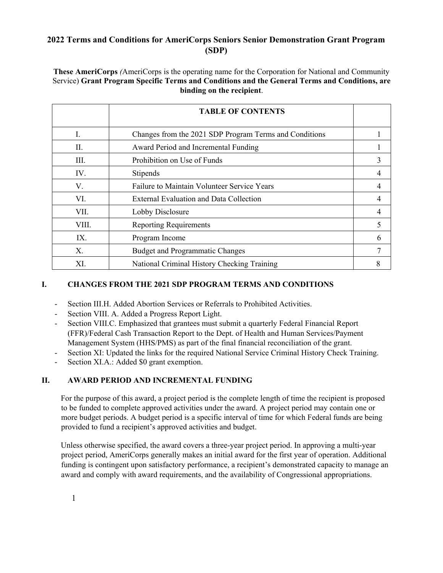# **2022 Terms and Conditions for AmeriCorps Seniors Senior Demonstration Grant Program (SDP)**

**These AmeriCorps** *(*AmeriCorps is the operating name for the Corporation for National and Community Service) **Grant Program Specific Terms and Conditions and the General Terms and Conditions, are binding on the recipient**.

|       | <b>TABLE OF CONTENTS</b>                               |   |
|-------|--------------------------------------------------------|---|
| I.    | Changes from the 2021 SDP Program Terms and Conditions |   |
| II.   | Award Period and Incremental Funding                   |   |
| III.  | Prohibition on Use of Funds                            | 3 |
| IV.   | Stipends                                               | 4 |
| V.    | Failure to Maintain Volunteer Service Years            | 4 |
| VI.   | External Evaluation and Data Collection                | 4 |
| VII.  | Lobby Disclosure                                       | 4 |
| VIII. | <b>Reporting Requirements</b>                          | 5 |
| IX.   | Program Income                                         | 6 |
| Χ.    | <b>Budget and Programmatic Changes</b>                 |   |
| XI.   | National Criminal History Checking Training            |   |

# **I. CHANGES FROM THE 2021 SDP PROGRAM TERMS AND CONDITIONS**

- Section III.H. Added Abortion Services or Referrals to Prohibited Activities.
- Section VIII. A. Added a Progress Report Light.
- Section VIII.C. Emphasized that grantees must submit a quarterly Federal Financial Report (FFR)/Federal Cash Transaction Report to the Dept. of Health and Human Services/Payment Management System (HHS/PMS) as part of the final financial reconciliation of the grant.
- Section XI: Updated the links for the required National Service Criminal History Check Training.
- Section XI.A.: Added \$0 grant exemption.

## **II. AWARD PERIOD AND INCREMENTAL FUNDING**

For the purpose of this award, a project period is the complete length of time the recipient is proposed to be funded to complete approved activities under the award. A project period may contain one or more budget periods. A budget period is a specific interval of time for which Federal funds are being provided to fund a recipient's approved activities and budget.

Unless otherwise specified, the award covers a three-year project period. In approving a multi-year project period, AmeriCorps generally makes an initial award for the first year of operation. Additional funding is contingent upon satisfactory performance, a recipient's demonstrated capacity to manage an award and comply with award requirements, and the availability of Congressional appropriations.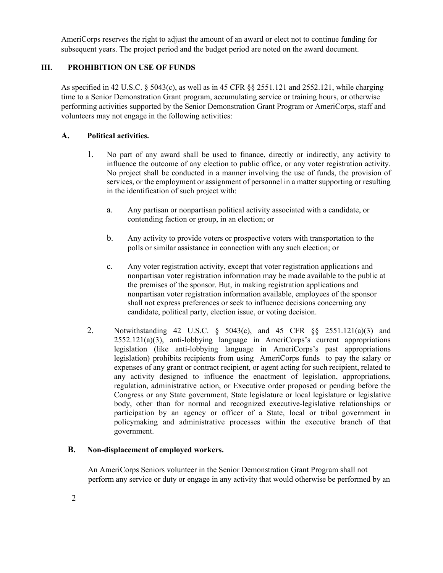AmeriCorps reserves the right to adjust the amount of an award or elect not to continue funding for subsequent years. The project period and the budget period are noted on the award document.

# **III. PROHIBITION ON USE OF FUNDS**

As specified in 42 U.S.C. § 5043(c), as well as in 45 CFR §§ 2551.121 and 2552.121, while charging time to a Senior Demonstration Grant program, accumulating service or training hours, or otherwise performing activities supported by the Senior Demonstration Grant Program or AmeriCorps, staff and volunteers may not engage in the following activities:

## **A. Political activities.**

- 1. No part of any award shall be used to finance, directly or indirectly, any activity to influence the outcome of any election to public office, or any voter registration activity. No project shall be conducted in a manner involving the use of funds, the provision of services, or the employment or assignment of personnel in a matter supporting or resulting in the identification of such project with:
	- a. Any partisan or nonpartisan political activity associated with a candidate, or contending faction or group, in an election; or
	- b. Any activity to provide voters or prospective voters with transportation to the polls or similar assistance in connection with any such election; or
	- c. Any voter registration activity, except that voter registration applications and nonpartisan voter registration information may be made available to the public at the premises of the sponsor. But, in making registration applications and nonpartisan voter registration information available, employees of the sponsor shall not express preferences or seek to influence decisions concerning any candidate, political party, election issue, or voting decision.
- 2. Notwithstanding 42 U.S.C. § 5043(c), and 45 CFR §§ 2551.121(a)(3) and 2552.121(a)(3), anti-lobbying language in AmeriCorps's current appropriations legislation (like anti-lobbying language in AmeriCorps's past appropriations legislation) prohibits recipients from using AmeriCorps funds to pay the salary or expenses of any grant or contract recipient, or agent acting for such recipient, related to any activity designed to influence the enactment of legislation, appropriations, regulation, administrative action, or Executive order proposed or pending before the Congress or any State government, State legislature or local legislature or legislative body, other than for normal and recognized executive-legislative relationships or participation by an agency or officer of a State, local or tribal government in policymaking and administrative processes within the executive branch of that government.

## **B. Non-displacement of employed workers.**

An AmeriCorps Seniors volunteer in the Senior Demonstration Grant Program shall not perform any service or duty or engage in any activity that would otherwise be performed by an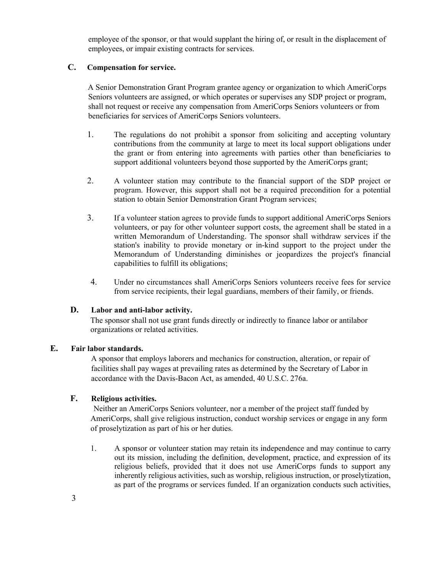employee of the sponsor, or that would supplant the hiring of, or result in the displacement of employees, or impair existing contracts for services.

#### **C. Compensation for service.**

A Senior Demonstration Grant Program grantee agency or organization to which AmeriCorps Seniors volunteers are assigned, or which operates or supervises any SDP project or program, shall not request or receive any compensation from AmeriCorps Seniors volunteers or from beneficiaries for services of AmeriCorps Seniors volunteers.

- 1. The regulations do not prohibit a sponsor from soliciting and accepting voluntary contributions from the community at large to meet its local support obligations under the grant or from entering into agreements with parties other than beneficiaries to support additional volunteers beyond those supported by the AmeriCorps grant;
- 2. A volunteer station may contribute to the financial support of the SDP project or program. However, this support shall not be a required precondition for a potential station to obtain Senior Demonstration Grant Program services;
- 3. If a volunteer station agrees to provide funds to support additional AmeriCorps Seniors volunteers, or pay for other volunteer support costs, the agreement shall be stated in a written Memorandum of Understanding. The sponsor shall withdraw services if the station's inability to provide monetary or in-kind support to the project under the Memorandum of Understanding diminishes or jeopardizes the project's financial capabilities to fulfill its obligations;
- 4. Under no circumstances shall AmeriCorps Seniors volunteers receive fees for service from service recipients, their legal guardians, members of their family, or friends.

### **D. Labor and anti-labor activity.**

The sponsor shall not use grant funds directly or indirectly to finance labor or antilabor organizations or related activities.

#### **E. Fair labor standards.**

A sponsor that employs laborers and mechanics for construction, alteration, or repair of facilities shall pay wages at prevailing rates as determined by the Secretary of Labor in accordance with the Davis-Bacon Act, as amended, 40 U.S.C. 276a.

#### **F. Religious activities.**

Neither an AmeriCorps Seniors volunteer, nor a member of the project staff funded by AmeriCorps, shall give religious instruction, conduct worship services or engage in any form of proselytization as part of his or her duties.

1. A sponsor or volunteer station may retain its independence and may continue to carry out its mission, including the definition, development, practice, and expression of its religious beliefs, provided that it does not use AmeriCorps funds to support any inherently religious activities, such as worship, religious instruction, or proselytization, as part of the programs or services funded. If an organization conducts such activities,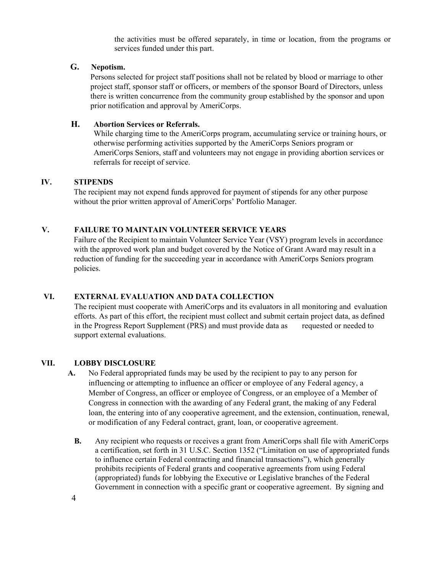the activities must be offered separately, in time or location, from the programs or services funded under this part.

### **G. Nepotism.**

Persons selected for project staff positions shall not be related by blood or marriage to other project staff, sponsor staff or officers, or members of the sponsor Board of Directors, unless there is written concurrence from the community group established by the sponsor and upon prior notification and approval by AmeriCorps.

## **H. Abortion Services or Referrals.**

While charging time to the AmeriCorps program, accumulating service or training hours, or otherwise performing activities supported by the AmeriCorps Seniors program or AmeriCorps Seniors, staff and volunteers may not engage in providing abortion services or referrals for receipt of service.

#### **IV. STIPENDS**

The recipient may not expend funds approved for payment of stipends for any other purpose without the prior written approval of AmeriCorps' Portfolio Manager.

### **V. FAILURE TO MAINTAIN VOLUNTEER SERVICE YEARS**

Failure of the Recipient to maintain Volunteer Service Year (VSY) program levels in accordance with the approved work plan and budget covered by the Notice of Grant Award may result in a reduction of funding for the succeeding year in accordance with AmeriCorps Seniors program policies.

### **VI. EXTERNAL EVALUATION AND DATA COLLECTION**

The recipient must cooperate with AmeriCorps and its evaluators in all monitoring and evaluation efforts. As part of this effort, the recipient must collect and submit certain project data, as defined in the Progress Report Supplement (PRS) and must provide data as requested or needed to support external evaluations.

#### **VII. LOBBY DISCLOSURE**

- **A.** No Federal appropriated funds may be used by the recipient to pay to any person for influencing or attempting to influence an officer or employee of any Federal agency, a Member of Congress, an officer or employee of Congress, or an employee of a Member of Congress in connection with the awarding of any Federal grant, the making of any Federal loan, the entering into of any cooperative agreement, and the extension, continuation, renewal, or modification of any Federal contract, grant, loan, or cooperative agreement.
	- **B.** Any recipient who requests or receives a grant from AmeriCorps shall file with AmeriCorps a certification, set forth in 31 U.S.C. Section 1352 ("Limitation on use of appropriated funds to influence certain Federal contracting and financial transactions"), which generally prohibits recipients of Federal grants and cooperative agreements from using Federal (appropriated) funds for lobbying the Executive or Legislative branches of the Federal Government in connection with a specific grant or cooperative agreement. By signing and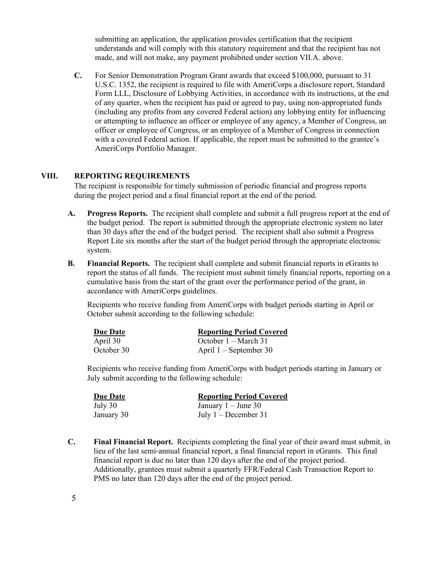submitting an application, the application provides certification that the recipient understands and will comply with this statutory requirement and that the recipient has not made, and will not make, any payment prohibited under section VII.A. above.

**C.** For Senior Demonstration Program Grant awards that exceed \$100,000, pursuant to 31 U.S.C. 1352, the recipient is required to file with AmeriCorps a disclosure report, Standard Form LLL, Disclosure of Lobbying Activities, in accordance with its instructions, at the end of any quarter, when the recipient has paid or agreed to pay, using non-appropriated funds (including any profits from any covered Federal action) any lobbying entity for influencing or attempting to influence an officer or employee of any agency, a Member of Congress, an officer or employee of Congress, or an employee of a Member of Congress in connection with a covered Federal action. If applicable, the report must be submitted to the grantee's AmeriCorps Portfolio Manager.

### **VIII. REPORTING REQUIREMENTS**

The recipient is responsible for timely submission of periodic financial and progress reports during the project period and a final financial report at the end of the period.

- **A. Progress Reports.** The recipient shall complete and submit a full progress report at the end of the budget period. The report is submitted through the appropriate electronic system no later than 30 days after the end of the budget period. The recipient shall also submit a Progress Report Lite six months after the start of the budget period through the appropriate electronic system.
- **B. Financial Reports.** The recipient shall complete and submit financial reports in eGrants to report the status of all funds. The recipient must submit timely financial reports, reporting on a cumulative basis from the start of the grant over the performance period of the grant, in accordance with AmeriCorps guidelines.

Recipients who receive funding from AmeriCorps with budget periods starting in April or October submit according to the following schedule:

| Due Date   | <b>Reporting Period Covered</b> |
|------------|---------------------------------|
| April 30   | October $1 - \text{March } 31$  |
| October 30 | April $1 -$ September 30        |

Recipients who receive funding from AmeriCorps with budget periods starting in January or July submit according to the following schedule:

| Due Date   | <b>Reporting Period Covered</b> |
|------------|---------------------------------|
| July 30    | January $1 -$ June 30           |
| January 30 | July $1 -$ December 31          |

**C. Final Financial Report.** Recipients completing the final year of their award must submit, in lieu of the last semi-annual financial report, a final financial report in eGrants. This final financial report is due no later than 120 days after the end of the project period. Additionally, grantees must submit a quarterly FFR/Federal Cash Transaction Report to PMS no later than 120 days after the end of the project period.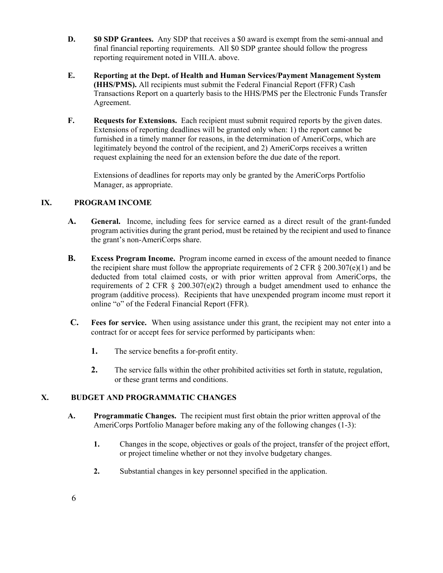- **D. \$0 SDP Grantees.** Any SDP that receives a \$0 award is exempt from the semi-annual and final financial reporting requirements. All \$0 SDP grantee should follow the progress reporting requirement noted in VIII.A. above.
- **E. Reporting at the Dept. of Health and Human Services/Payment Management System (HHS/PMS).** All recipients must submit the Federal Financial Report (FFR) Cash Transactions Report on a quarterly basis to the HHS/PMS per the Electronic Funds Transfer Agreement.
- **F. Requests for Extensions.** Each recipient must submit required reports by the given dates. Extensions of reporting deadlines will be granted only when: 1) the report cannot be furnished in a timely manner for reasons, in the determination of AmeriCorps, which are legitimately beyond the control of the recipient, and 2) AmeriCorps receives a written request explaining the need for an extension before the due date of the report.

Extensions of deadlines for reports may only be granted by the AmeriCorps Portfolio Manager, as appropriate.

## **IX. PROGRAM INCOME**

- **A. General.** Income, including fees for service earned as a direct result of the grant-funded program activities during the grant period, must be retained by the recipient and used to finance the grant's non-AmeriCorps share.
- **B. Excess Program Income.** Program income earned in excess of the amount needed to finance the recipient share must follow the appropriate requirements of 2 CFR  $\S 200.307(e)(1)$  and be deducted from total claimed costs, or with prior written approval from AmeriCorps, the requirements of 2 CFR  $\S$  200.307(e)(2) through a budget amendment used to enhance the program (additive process). Recipients that have unexpended program income must report it online "o" of the Federal Financial Report (FFR).
- **C. Fees for service.** When using assistance under this grant, the recipient may not enter into a contract for or accept fees for service performed by participants when:
	- **1.** The service benefits a for-profit entity.
	- **2.** The service falls within the other prohibited activities set forth in statute, regulation, or these grant terms and conditions.

## **X. BUDGET AND PROGRAMMATIC CHANGES**

- **A. Programmatic Changes.** The recipient must first obtain the prior written approval of the AmeriCorps Portfolio Manager before making any of the following changes (1-3):
	- **1.** Changes in the scope, objectives or goals of the project, transfer of the project effort, or project timeline whether or not they involve budgetary changes.
	- **2.** Substantial changes in key personnel specified in the application.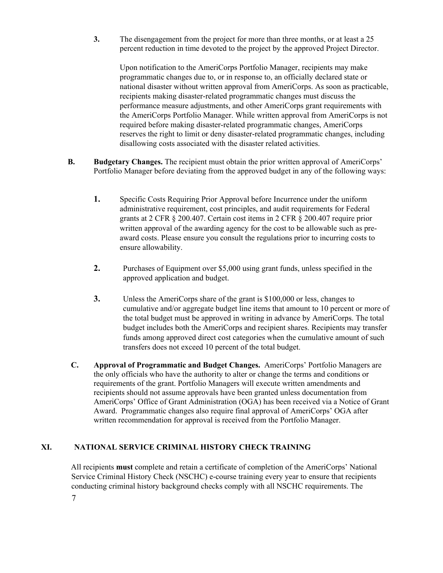**3.** The disengagement from the project for more than three months, or at least a 25 percent reduction in time devoted to the project by the approved Project Director.

Upon notification to the AmeriCorps Portfolio Manager, recipients may make programmatic changes due to, or in response to, an officially declared state or national disaster without written approval from AmeriCorps. As soon as practicable, recipients making disaster-related programmatic changes must discuss the performance measure adjustments, and other AmeriCorps grant requirements with the AmeriCorps Portfolio Manager. While written approval from AmeriCorps is not required before making disaster-related programmatic changes, AmeriCorps reserves the right to limit or deny disaster-related programmatic changes, including disallowing costs associated with the disaster related activities.

- **B. Budgetary Changes.** The recipient must obtain the prior written approval of AmeriCorps' Portfolio Manager before deviating from the approved budget in any of the following ways:
	- **1.** Specific Costs Requiring Prior Approval before Incurrence under the uniform administrative requirement, cost principles, and audit requirements for Federal grants at 2 CFR § 200.407. Certain cost items in 2 CFR § 200.407 require prior written approval of the awarding agency for the cost to be allowable such as preaward costs. Please ensure you consult the regulations prior to incurring costs to ensure allowability.
	- **2.** Purchases of Equipment over \$5,000 using grant funds, unless specified in the approved application and budget.
	- **3.** Unless the AmeriCorps share of the grant is \$100,000 or less, changes to cumulative and/or aggregate budget line items that amount to 10 percent or more of the total budget must be approved in writing in advance by AmeriCorps. The total budget includes both the AmeriCorps and recipient shares. Recipients may transfer funds among approved direct cost categories when the cumulative amount of such transfers does not exceed 10 percent of the total budget.
- **C. Approval of Programmatic and Budget Changes.** AmeriCorps' Portfolio Managers are the only officials who have the authority to alter or change the terms and conditions or requirements of the grant. Portfolio Managers will execute written amendments and recipients should not assume approvals have been granted unless documentation from AmeriCorps' Office of Grant Administration (OGA) has been received via a Notice of Grant Award. Programmatic changes also require final approval of AmeriCorps' OGA after written recommendation for approval is received from the Portfolio Manager.

## **XI. NATIONAL SERVICE CRIMINAL HISTORY CHECK TRAINING**

All recipients **must** complete and retain a certificate of completion of the AmeriCorps' National Service Criminal History Check (NSCHC) e-course training every year to ensure that recipients conducting criminal history background checks comply with all NSCHC requirements. The